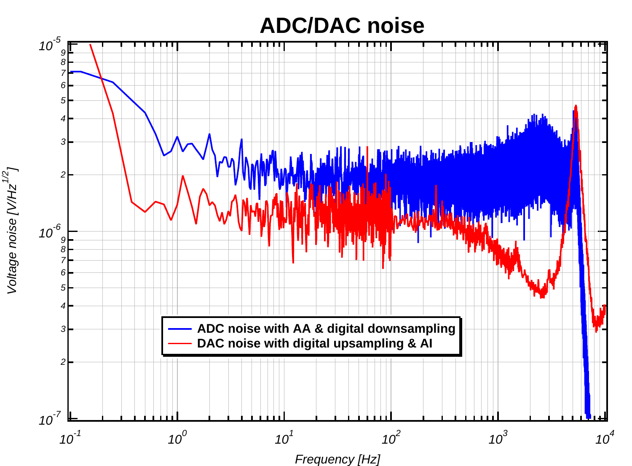#### **ADC/DAC noise**



Voltage noise [V/Hz $^{1/2}$ ]

Voltage noise [V/Hz<sup>1/2</sup>]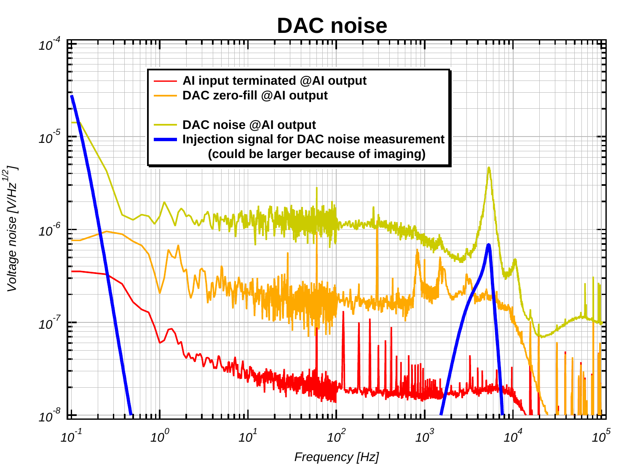#### **DAC noise**



Voltage noise [V/Hz $^{\prime\prime 2}$ ] Voltage noise [V/Hz $^{1/2}$ ]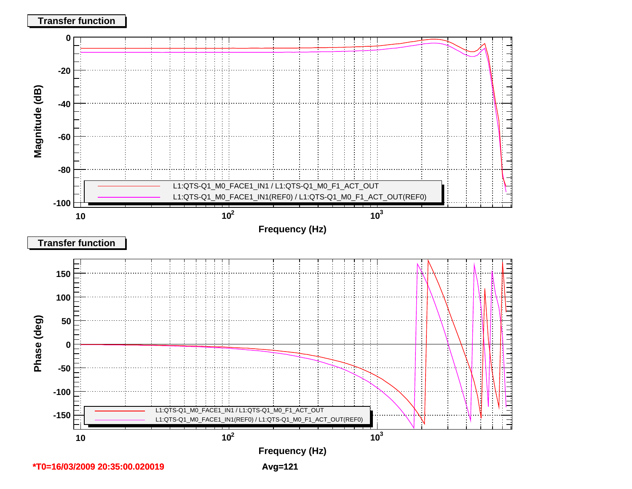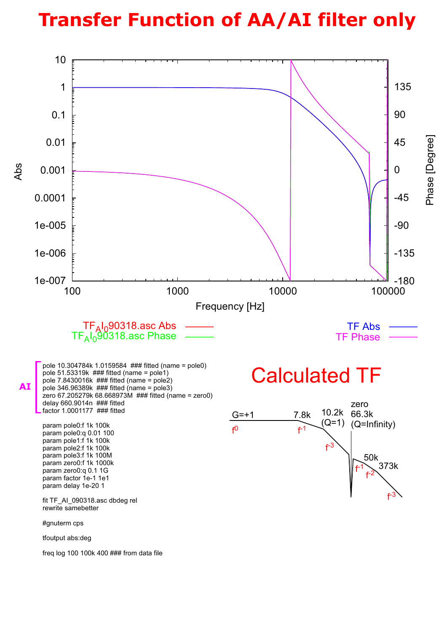## **Transfer Function of AA/AI filter only**

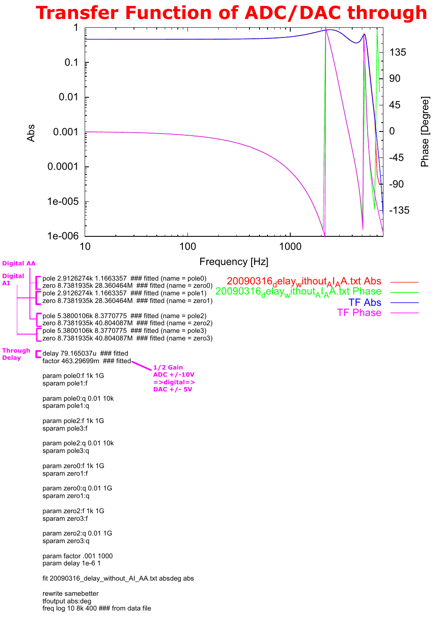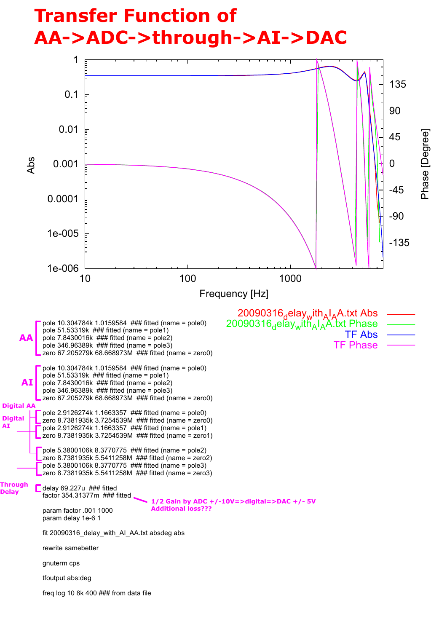## **Transfer Function of** AA->ADC->through->AI->DAC

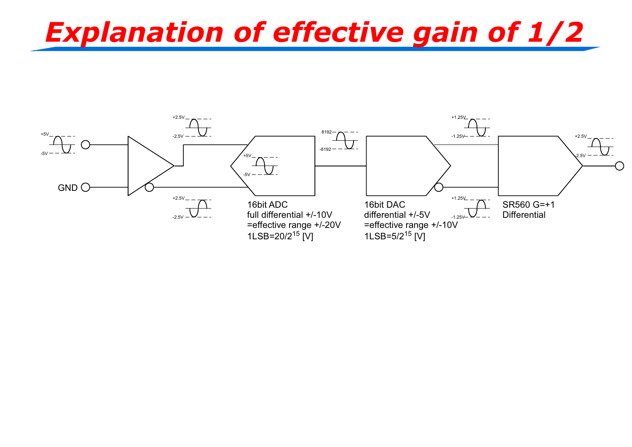# **Explanation of effective gain of 1/2**

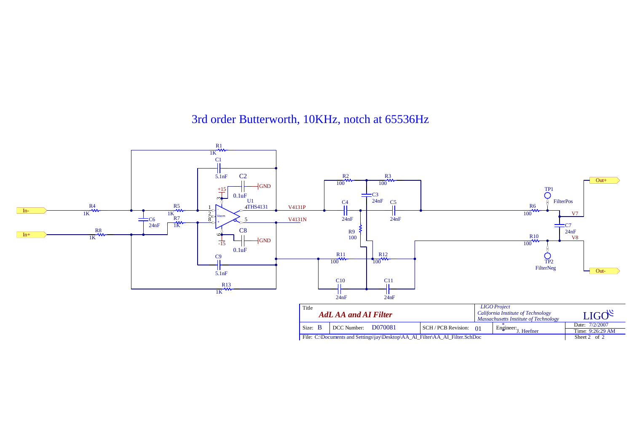### 3rd order Butterworth, 10KHz, notch at 65536Hz

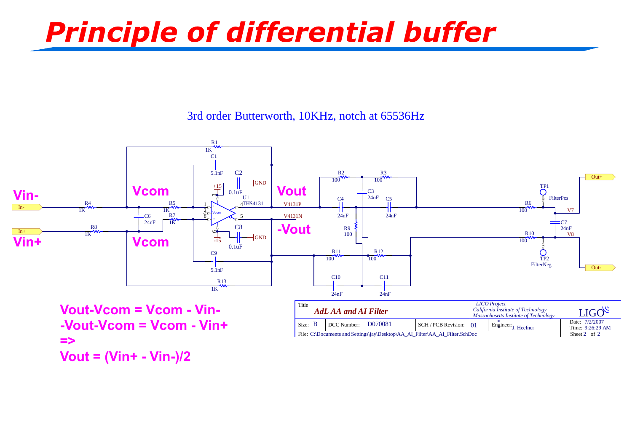# Principle of differential buffer

### 3rd order Butterworth, 10KHz, notch at 65536Hz

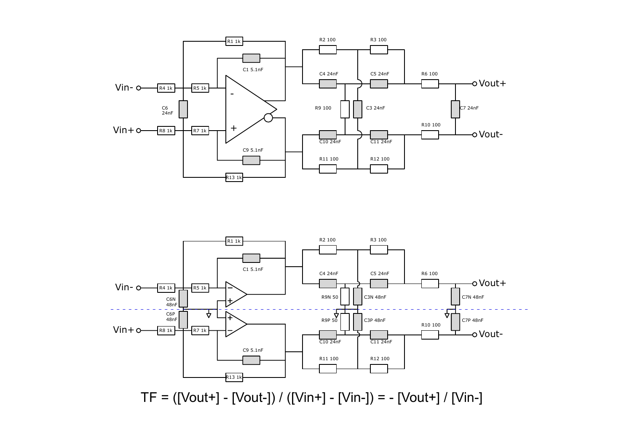



TF = ([Vout+] - [Vout-]) / ([Vin+] - [Vin-]) = - [Vout+] / [Vin-]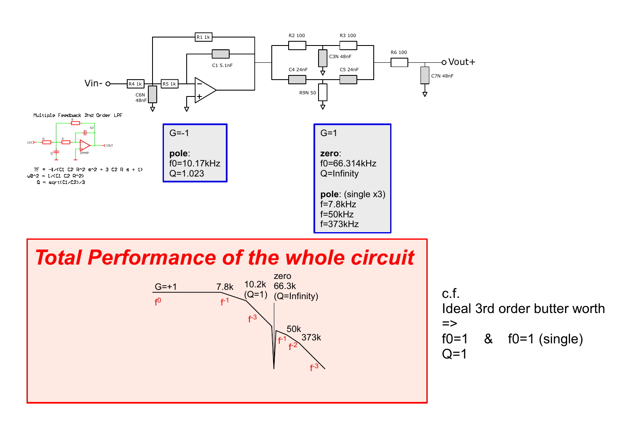

## **Total Performance of the whole circuit**



 $c.f.$ Ideal 3rd order butter worth  $\Rightarrow$ &  $f0=1$  (single)  $f0=1$  $Q=1$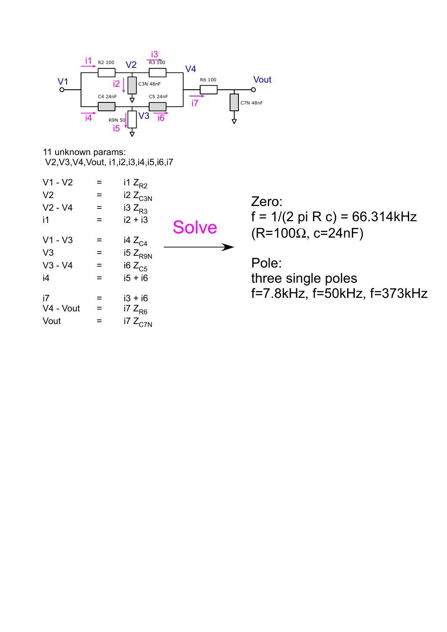

11 unknown params: V2, V3, V4, Vout, i1, i2, i3, i4, i5, i6, i7

| $V1 - V2$      | Ξ   | i1 $Z_{R2}$  |              |
|----------------|-----|--------------|--------------|
| V <sub>2</sub> | Ξ   | $i2 Z_{C3N}$ |              |
| $V2 - V4$      | Ξ   | i3 $Z_{R3}$  |              |
| i1             | $=$ | $i2 + i3$    | <b>Solve</b> |
| $V1 - V3$      | =   | i4 $Z_{C4}$  |              |
| V <sub>3</sub> | $=$ | $15 Z_{R9N}$ |              |
| $V3 - V4$      | Ξ   | i6 $Z_{C5}$  |              |
| i4             | $=$ | $i5 + i6$    |              |
| i7             | =   | $i3 + i6$    |              |
| V4 - Vout      | Ξ   | i7 $Z_{R6}$  |              |
| Vout           | $=$ | i7 $Z_{C7N}$ |              |

Zero:  $f = 1/(2 \pi R c) = 66.314kHz$  $(R=100\Omega, c=24nF)$ 

Pole: three single poles f=7.8kHz, f=50kHz, f=373kHz